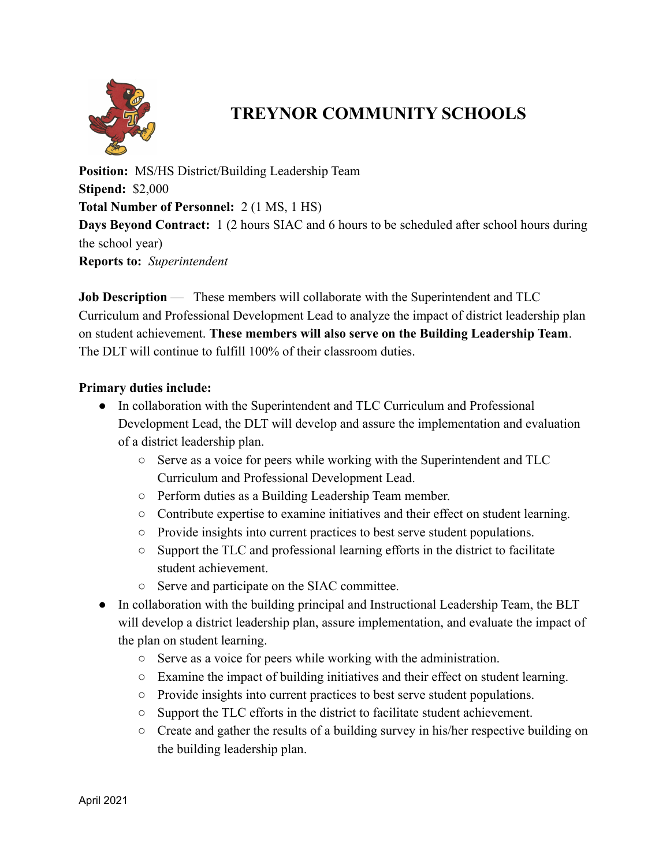

## **TREYNOR COMMUNITY SCHOOLS**

**Position:** MS/HS District/Building Leadership Team **Stipend:** \$2,000 **Total Number of Personnel:** 2 (1 MS, 1 HS) **Days Beyond Contract:** 1 (2 hours SIAC and 6 hours to be scheduled after school hours during the school year) **Reports to:** *Superintendent*

**Job Description** — These members will collaborate with the Superintendent and TLC Curriculum and Professional Development Lead to analyze the impact of district leadership plan on student achievement. **These members will also serve on the Building Leadership Team**. The DLT will continue to fulfill 100% of their classroom duties.

## **Primary duties include:**

- In collaboration with the Superintendent and TLC Curriculum and Professional Development Lead, the DLT will develop and assure the implementation and evaluation of a district leadership plan.
	- Serve as a voice for peers while working with the Superintendent and TLC Curriculum and Professional Development Lead.
	- Perform duties as a Building Leadership Team member.
	- Contribute expertise to examine initiatives and their effect on student learning.
	- Provide insights into current practices to best serve student populations.
	- Support the TLC and professional learning efforts in the district to facilitate student achievement.
	- Serve and participate on the SIAC committee.
- In collaboration with the building principal and Instructional Leadership Team, the BLT will develop a district leadership plan, assure implementation, and evaluate the impact of the plan on student learning.
	- Serve as a voice for peers while working with the administration.
	- Examine the impact of building initiatives and their effect on student learning.
	- Provide insights into current practices to best serve student populations.
	- Support the TLC efforts in the district to facilitate student achievement.
	- $\circ$  Create and gather the results of a building survey in his/her respective building on the building leadership plan.